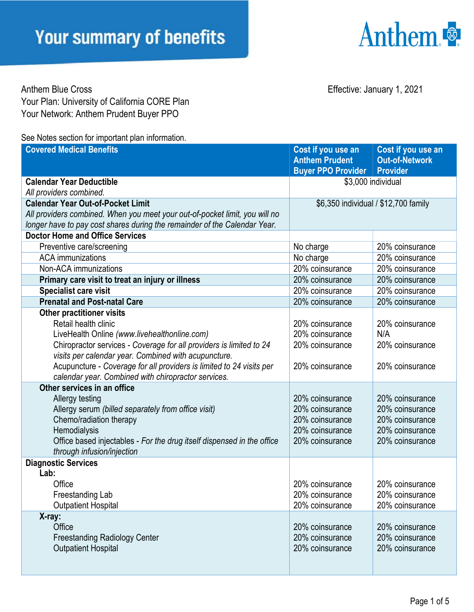

Anthem Blue Cross **Effective:** January 1, 2021 Your Plan: University of California CORE Plan Your Network: Anthem Prudent Buyer PPO

See Notes section for important plan information

| <b>Covered Medical Benefits</b>                                             | Cost if you use an<br><b>Anthem Prudent</b><br><b>Buyer PPO Provider</b> | Cost if you use an<br><b>Out-of-Network</b><br><b>Provider</b> |
|-----------------------------------------------------------------------------|--------------------------------------------------------------------------|----------------------------------------------------------------|
| <b>Calendar Year Deductible</b>                                             | \$3,000 individual                                                       |                                                                |
| All providers combined.                                                     |                                                                          |                                                                |
| <b>Calendar Year Out-of-Pocket Limit</b>                                    | \$6,350 individual / \$12,700 family                                     |                                                                |
| All providers combined. When you meet your out-of-pocket limit, you will no |                                                                          |                                                                |
| longer have to pay cost shares during the remainder of the Calendar Year.   |                                                                          |                                                                |
| <b>Doctor Home and Office Services</b>                                      |                                                                          |                                                                |
| Preventive care/screening                                                   | No charge                                                                | 20% coinsurance                                                |
| <b>ACA</b> immunizations                                                    | No charge                                                                | 20% coinsurance                                                |
| Non-ACA immunizations                                                       | 20% coinsurance                                                          | 20% coinsurance                                                |
| Primary care visit to treat an injury or illness                            | 20% coinsurance                                                          | 20% coinsurance                                                |
| Specialist care visit                                                       | 20% coinsurance                                                          | 20% coinsurance                                                |
| <b>Prenatal and Post-natal Care</b>                                         | 20% coinsurance                                                          | 20% coinsurance                                                |
| <b>Other practitioner visits</b><br>Retail health clinic                    | 20% coinsurance                                                          | 20% coinsurance                                                |
| LiveHealth Online (www.livehealthonline.com)                                | 20% coinsurance                                                          | N/A                                                            |
| Chiropractor services - Coverage for all providers is limited to 24         | 20% coinsurance                                                          | 20% coinsurance                                                |
| visits per calendar year. Combined with acupuncture.                        |                                                                          |                                                                |
| Acupuncture - Coverage for all providers is limited to 24 visits per        | 20% coinsurance                                                          | 20% coinsurance                                                |
| calendar year. Combined with chiropractor services.                         |                                                                          |                                                                |
| Other services in an office                                                 |                                                                          |                                                                |
| Allergy testing                                                             | 20% coinsurance                                                          | 20% coinsurance                                                |
| Allergy serum (billed separately from office visit)                         | 20% coinsurance                                                          | 20% coinsurance                                                |
| Chemo/radiation therapy                                                     | 20% coinsurance                                                          | 20% coinsurance                                                |
| Hemodialysis                                                                | 20% coinsurance                                                          | 20% coinsurance                                                |
| Office based injectables - For the drug itself dispensed in the office      | 20% coinsurance                                                          | 20% coinsurance                                                |
| through infusion/injection                                                  |                                                                          |                                                                |
| <b>Diagnostic Services</b>                                                  |                                                                          |                                                                |
| Lab:                                                                        |                                                                          |                                                                |
| Office                                                                      | 20% coinsurance                                                          | 20% coinsurance                                                |
| Freestanding Lab                                                            | 20% coinsurance                                                          | 20% coinsurance                                                |
| <b>Outpatient Hospital</b>                                                  | 20% coinsurance                                                          | 20% coinsurance                                                |
| X-ray:                                                                      |                                                                          |                                                                |
| Office                                                                      | 20% coinsurance                                                          | 20% coinsurance                                                |
| <b>Freestanding Radiology Center</b>                                        | 20% coinsurance                                                          | 20% coinsurance                                                |
| <b>Outpatient Hospital</b>                                                  | 20% coinsurance                                                          | 20% coinsurance                                                |
|                                                                             |                                                                          |                                                                |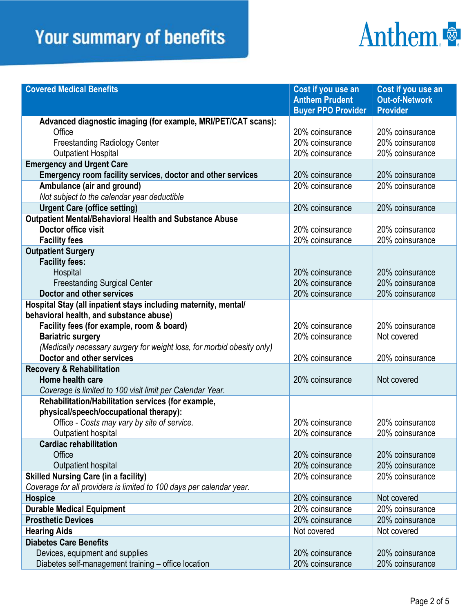### **Your summary of benefits**

## Anthem.

| <b>Covered Medical Benefits</b>                                        | Cost if you use an        | Cost if you use an    |
|------------------------------------------------------------------------|---------------------------|-----------------------|
|                                                                        | <b>Anthem Prudent</b>     | <b>Out-of-Network</b> |
|                                                                        | <b>Buyer PPO Provider</b> | <b>Provider</b>       |
| Advanced diagnostic imaging (for example, MRI/PET/CAT scans):          |                           |                       |
| Office                                                                 | 20% coinsurance           | 20% coinsurance       |
| <b>Freestanding Radiology Center</b>                                   | 20% coinsurance           | 20% coinsurance       |
| <b>Outpatient Hospital</b>                                             | 20% coinsurance           | 20% coinsurance       |
| <b>Emergency and Urgent Care</b>                                       |                           |                       |
| Emergency room facility services, doctor and other services            | 20% coinsurance           | 20% coinsurance       |
| Ambulance (air and ground)                                             | 20% coinsurance           | 20% coinsurance       |
| Not subject to the calendar year deductible                            |                           |                       |
| <b>Urgent Care (office setting)</b>                                    | 20% coinsurance           | 20% coinsurance       |
| Outpatient Mental/Behavioral Health and Substance Abuse                |                           |                       |
| Doctor office visit                                                    | 20% coinsurance           | 20% coinsurance       |
| <b>Facility fees</b>                                                   | 20% coinsurance           | 20% coinsurance       |
| <b>Outpatient Surgery</b>                                              |                           |                       |
| <b>Facility fees:</b>                                                  |                           |                       |
| Hospital                                                               | 20% coinsurance           | 20% coinsurance       |
| <b>Freestanding Surgical Center</b>                                    | 20% coinsurance           | 20% coinsurance       |
| Doctor and other services                                              | 20% coinsurance           | 20% coinsurance       |
| Hospital Stay (all inpatient stays including maternity, mental/        |                           |                       |
| behavioral health, and substance abuse)                                |                           |                       |
| Facility fees (for example, room & board)                              | 20% coinsurance           | 20% coinsurance       |
| <b>Bariatric surgery</b>                                               | 20% coinsurance           | Not covered           |
| (Medically necessary surgery for weight loss, for morbid obesity only) |                           |                       |
| Doctor and other services                                              | 20% coinsurance           | 20% coinsurance       |
| <b>Recovery &amp; Rehabilitation</b>                                   |                           |                       |
| Home health care                                                       | 20% coinsurance           | Not covered           |
| Coverage is limited to 100 visit limit per Calendar Year.              |                           |                       |
| Rehabilitation/Habilitation services (for example,                     |                           |                       |
| physical/speech/occupational therapy):                                 |                           |                       |
| Office - Costs may vary by site of service.                            | 20% coinsurance           | 20% coinsurance       |
| Outpatient hospital                                                    | 20% coinsurance           | 20% coinsurance       |
| <b>Cardiac rehabilitation</b>                                          |                           |                       |
| Office                                                                 | 20% coinsurance           | 20% coinsurance       |
| Outpatient hospital                                                    | 20% coinsurance           | 20% coinsurance       |
| <b>Skilled Nursing Care (in a facility)</b>                            | 20% coinsurance           | 20% coinsurance       |
| Coverage for all providers is limited to 100 days per calendar year.   |                           |                       |
| <b>Hospice</b>                                                         | 20% coinsurance           | Not covered           |
| <b>Durable Medical Equipment</b>                                       | 20% coinsurance           | 20% coinsurance       |
| <b>Prosthetic Devices</b>                                              | 20% coinsurance           | 20% coinsurance       |
| <b>Hearing Aids</b>                                                    | Not covered               | Not covered           |
| <b>Diabetes Care Benefits</b>                                          |                           |                       |
| Devices, equipment and supplies                                        | 20% coinsurance           | 20% coinsurance       |
| Diabetes self-management training - office location                    | 20% coinsurance           | 20% coinsurance       |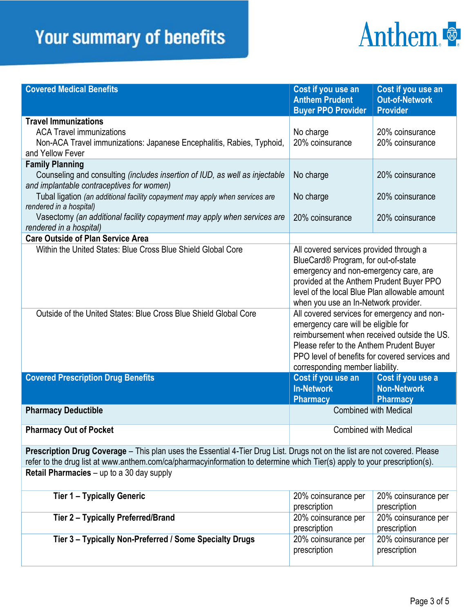### **Your summary of benefits**

# Anthem.

| <b>Covered Medical Benefits</b>                                                                                                                                                                                                                        | Cost if you use an<br><b>Anthem Prudent</b><br><b>Buyer PPO Provider</b>                  | Cost if you use an<br><b>Out-of-Network</b><br><b>Provider</b> |  |  |
|--------------------------------------------------------------------------------------------------------------------------------------------------------------------------------------------------------------------------------------------------------|-------------------------------------------------------------------------------------------|----------------------------------------------------------------|--|--|
| <b>Travel Immunizations</b>                                                                                                                                                                                                                            |                                                                                           |                                                                |  |  |
| <b>ACA Travel immunizations</b>                                                                                                                                                                                                                        | No charge                                                                                 | 20% coinsurance                                                |  |  |
| Non-ACA Travel immunizations: Japanese Encephalitis, Rabies, Typhoid,                                                                                                                                                                                  | 20% coinsurance                                                                           | 20% coinsurance                                                |  |  |
| and Yellow Fever                                                                                                                                                                                                                                       |                                                                                           |                                                                |  |  |
| <b>Family Planning</b>                                                                                                                                                                                                                                 |                                                                                           |                                                                |  |  |
| Counseling and consulting (includes insertion of IUD, as well as injectable                                                                                                                                                                            | No charge                                                                                 | 20% coinsurance                                                |  |  |
| and implantable contraceptives for women)                                                                                                                                                                                                              |                                                                                           |                                                                |  |  |
| Tubal ligation (an additional facility copayment may apply when services are                                                                                                                                                                           | No charge                                                                                 | 20% coinsurance                                                |  |  |
| rendered in a hospital)                                                                                                                                                                                                                                |                                                                                           |                                                                |  |  |
| Vasectomy (an additional facility copayment may apply when services are                                                                                                                                                                                | 20% coinsurance                                                                           | 20% coinsurance                                                |  |  |
| rendered in a hospital)                                                                                                                                                                                                                                |                                                                                           |                                                                |  |  |
| <b>Care Outside of Plan Service Area</b>                                                                                                                                                                                                               |                                                                                           |                                                                |  |  |
| Within the United States: Blue Cross Blue Shield Global Core                                                                                                                                                                                           | All covered services provided through a<br>BlueCard® Program, for out-of-state            |                                                                |  |  |
|                                                                                                                                                                                                                                                        | emergency and non-emergency care, are                                                     |                                                                |  |  |
|                                                                                                                                                                                                                                                        | provided at the Anthem Prudent Buyer PPO<br>level of the local Blue Plan allowable amount |                                                                |  |  |
|                                                                                                                                                                                                                                                        |                                                                                           |                                                                |  |  |
| Outside of the United States: Blue Cross Blue Shield Global Core                                                                                                                                                                                       | when you use an In-Network provider.<br>All covered services for emergency and non-       |                                                                |  |  |
|                                                                                                                                                                                                                                                        | emergency care will be eligible for                                                       |                                                                |  |  |
|                                                                                                                                                                                                                                                        | reimbursement when received outside the US.                                               |                                                                |  |  |
|                                                                                                                                                                                                                                                        | Please refer to the Anthem Prudent Buyer                                                  |                                                                |  |  |
|                                                                                                                                                                                                                                                        | PPO level of benefits for covered services and                                            |                                                                |  |  |
|                                                                                                                                                                                                                                                        | corresponding member liability.                                                           |                                                                |  |  |
| <b>Covered Prescription Drug Benefits</b>                                                                                                                                                                                                              | Cost if you use an                                                                        | Cost if you use a                                              |  |  |
|                                                                                                                                                                                                                                                        | <b>In-Network</b>                                                                         | <b>Non-Network</b>                                             |  |  |
|                                                                                                                                                                                                                                                        | <b>Pharmacy</b>                                                                           | <b>Pharmacy</b>                                                |  |  |
| <b>Pharmacy Deductible</b>                                                                                                                                                                                                                             | <b>Combined with Medical</b>                                                              |                                                                |  |  |
|                                                                                                                                                                                                                                                        |                                                                                           |                                                                |  |  |
| <b>Pharmacy Out of Pocket</b>                                                                                                                                                                                                                          | Combined with Medical                                                                     |                                                                |  |  |
| Prescription Drug Coverage - This plan uses the Essential 4-Tier Drug List. Drugs not on the list are not covered. Please<br>refer to the drug list at www.anthem.com/ca/pharmacyinformation to determine which Tier(s) apply to your prescription(s). |                                                                                           |                                                                |  |  |
| Retail Pharmacies - up to a 30 day supply                                                                                                                                                                                                              |                                                                                           |                                                                |  |  |
|                                                                                                                                                                                                                                                        |                                                                                           |                                                                |  |  |
| <b>Tier 1 - Typically Generic</b>                                                                                                                                                                                                                      | 20% coinsurance per                                                                       | 20% coinsurance per                                            |  |  |
|                                                                                                                                                                                                                                                        | prescription                                                                              | prescription                                                   |  |  |
| Tier 2 - Typically Preferred/Brand                                                                                                                                                                                                                     | 20% coinsurance per                                                                       | 20% coinsurance per                                            |  |  |
|                                                                                                                                                                                                                                                        | prescription                                                                              | prescription                                                   |  |  |
| Tier 3 - Typically Non-Preferred / Some Specialty Drugs                                                                                                                                                                                                | 20% coinsurance per                                                                       | 20% coinsurance per                                            |  |  |
|                                                                                                                                                                                                                                                        | prescription                                                                              | prescription                                                   |  |  |
|                                                                                                                                                                                                                                                        |                                                                                           |                                                                |  |  |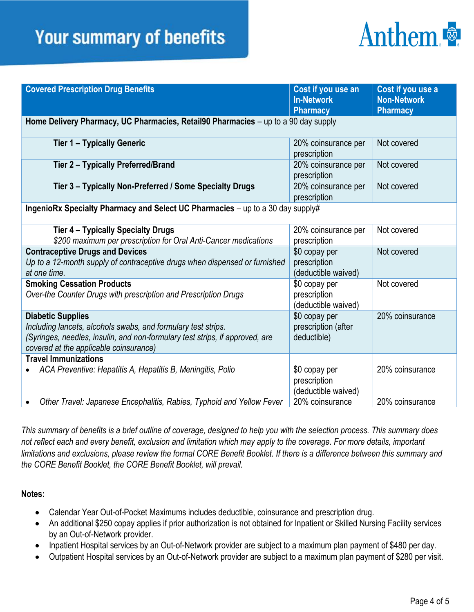#### **Your summary of benefits**

## Anthem

| <b>Covered Prescription Drug Benefits</b>                                                                                                                                                                           | Cost if you use an<br><b>In-Network</b><br><b>Pharmacy</b>              | Cost if you use a<br><b>Non-Network</b><br><b>Pharmacy</b> |  |  |
|---------------------------------------------------------------------------------------------------------------------------------------------------------------------------------------------------------------------|-------------------------------------------------------------------------|------------------------------------------------------------|--|--|
| Home Delivery Pharmacy, UC Pharmacies, Retail90 Pharmacies - up to a 90 day supply                                                                                                                                  |                                                                         |                                                            |  |  |
| <b>Tier 1 - Typically Generic</b>                                                                                                                                                                                   | 20% coinsurance per<br>prescription                                     | Not covered                                                |  |  |
| Tier 2 - Typically Preferred/Brand                                                                                                                                                                                  | 20% coinsurance per<br>prescription                                     | Not covered                                                |  |  |
| Tier 3 - Typically Non-Preferred / Some Specialty Drugs                                                                                                                                                             | 20% coinsurance per<br>prescription                                     | Not covered                                                |  |  |
| IngenioRx Specialty Pharmacy and Select UC Pharmacies - up to a 30 day supply#                                                                                                                                      |                                                                         |                                                            |  |  |
| Tier 4 - Typically Specialty Drugs<br>\$200 maximum per prescription for Oral Anti-Cancer medications                                                                                                               | 20% coinsurance per<br>prescription                                     | Not covered                                                |  |  |
| <b>Contraceptive Drugs and Devices</b><br>Up to a 12-month supply of contraceptive drugs when dispensed or furnished<br>at one time.                                                                                | \$0 copay per<br>prescription<br>(deductible waived)                    | Not covered                                                |  |  |
| <b>Smoking Cessation Products</b><br>Over-the Counter Drugs with prescription and Prescription Drugs                                                                                                                | \$0 copay per<br>prescription<br>(deductible waived)                    | Not covered                                                |  |  |
| <b>Diabetic Supplies</b><br>Including lancets, alcohols swabs, and formulary test strips.<br>(Syringes, needles, insulin, and non-formulary test strips, if approved, are<br>covered at the applicable coinsurance) | \$0 copay per<br>prescription (after<br>deductible)                     | 20% coinsurance                                            |  |  |
| <b>Travel Immunizations</b><br>ACA Preventive: Hepatitis A, Hepatitis B, Meningitis, Polio<br>Other Travel: Japanese Encephalitis, Rabies, Typhoid and Yellow Fever<br>$\bullet$                                    | \$0 copay per<br>prescription<br>(deductible waived)<br>20% coinsurance | 20% coinsurance<br>20% coinsurance                         |  |  |

*This summary of benefits is a brief outline of coverage, designed to help you with the selection process. This summary does not reflect each and every benefit, exclusion and limitation which may apply to the coverage. For more details, important limitations and exclusions, please review the formal CORE Benefit Booklet. If there is a difference between this summary and the CORE Benefit Booklet, the CORE Benefit Booklet, will prevail.* 

#### **Notes:**

- Calendar Year Out-of-Pocket Maximums includes deductible, coinsurance and prescription drug.
- An additional \$250 copay applies if prior authorization is not obtained for Inpatient or Skilled Nursing Facility services by an Out-of-Network provider.
- Inpatient Hospital services by an Out-of-Network provider are subject to a maximum plan payment of \$480 per day.
- Outpatient Hospital services by an Out-of-Network provider are subject to a maximum plan payment of \$280 per visit.